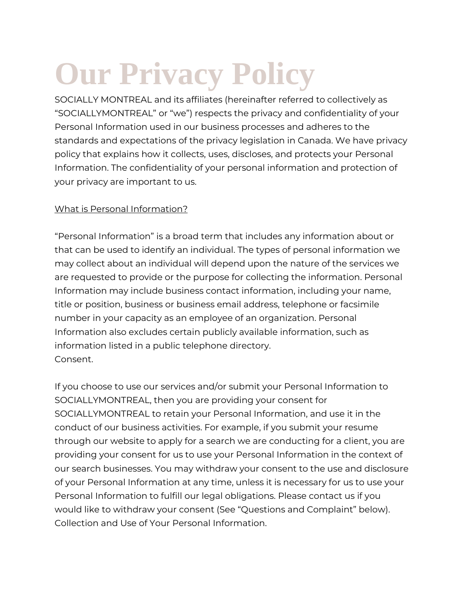# **Our Privacy Policy**

SOCIALLY MONTREAL and its affiliates (hereinafter referred to collectively as "SOCIALLYMONTREAL" or "we") respects the privacy and confidentiality of your Personal Information used in our business processes and adheres to the standards and expectations of the privacy legislation in Canada. We have privacy policy that explains how it collects, uses, discloses, and protects your Personal Information. The confidentiality of your personal information and protection of your privacy are important to us.

## What is Personal Information?

"Personal Information" is a broad term that includes any information about or that can be used to identify an individual. The types of personal information we may collect about an individual will depend upon the nature of the services we are requested to provide or the purpose for collecting the information. Personal Information may include business contact information, including your name, title or position, business or business email address, telephone or facsimile number in your capacity as an employee of an organization. Personal Information also excludes certain publicly available information, such as information listed in a public telephone directory. Consent.

If you choose to use our services and/or submit your Personal Information to SOCIALLYMONTREAL, then you are providing your consent for SOCIALLYMONTREAL to retain your Personal Information, and use it in the conduct of our business activities. For example, if you submit your resume through our website to apply for a search we are conducting for a client, you are providing your consent for us to use your Personal Information in the context of our search businesses. You may withdraw your consent to the use and disclosure of your Personal Information at any time, unless it is necessary for us to use your Personal Information to fulfill our legal obligations. Please contact us if you would like to withdraw your consent (See "Questions and Complaint" below). Collection and Use of Your Personal Information.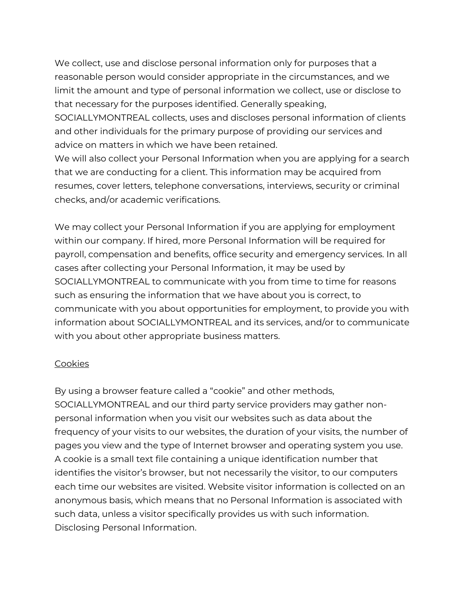We collect, use and disclose personal information only for purposes that a reasonable person would consider appropriate in the circumstances, and we limit the amount and type of personal information we collect, use or disclose to that necessary for the purposes identified. Generally speaking,

SOCIALLYMONTREAL collects, uses and discloses personal information of clients and other individuals for the primary purpose of providing our services and advice on matters in which we have been retained.

We will also collect your Personal Information when you are applying for a search that we are conducting for a client. This information may be acquired from resumes, cover letters, telephone conversations, interviews, security or criminal checks, and/or academic verifications.

We may collect your Personal Information if you are applying for employment within our company. If hired, more Personal Information will be required for payroll, compensation and benefits, office security and emergency services. In all cases after collecting your Personal Information, it may be used by SOCIALLYMONTREAL to communicate with you from time to time for reasons such as ensuring the information that we have about you is correct, to communicate with you about opportunities for employment, to provide you with information about SOCIALLYMONTREAL and its services, and/or to communicate with you about other appropriate business matters.

### **Cookies**

By using a browser feature called a "cookie" and other methods, SOCIALLYMONTREAL and our third party service providers may gather nonpersonal information when you visit our websites such as data about the frequency of your visits to our websites, the duration of your visits, the number of pages you view and the type of Internet browser and operating system you use. A cookie is a small text file containing a unique identification number that identifies the visitor's browser, but not necessarily the visitor, to our computers each time our websites are visited. Website visitor information is collected on an anonymous basis, which means that no Personal Information is associated with such data, unless a visitor specifically provides us with such information. Disclosing Personal Information.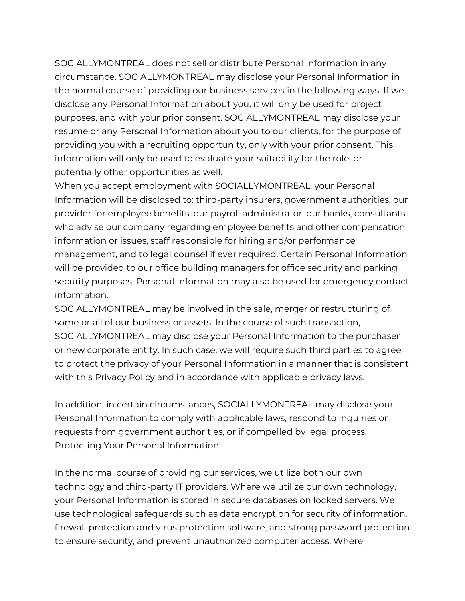SOCIALLYMONTREAL does not sell or distribute Personal Information in any circumstance. SOCIALLYMONTREAL may disclose your Personal Information in the normal course of providing our business services in the following ways: If we disclose any Personal Information about you, it will only be used for project purposes, and with your prior consent. SOCIALLYMONTREAL may disclose your resume or any Personal Information about you to our clients, for the purpose of providing you with a recruiting opportunity, only with your prior consent. This information will only be used to evaluate your suitability for the role, or potentially other opportunities as well.

When you accept employment with SOCIALLYMONTREAL, your Personal Information will be disclosed to: third-party insurers, government authorities, our provider for employee benefits, our payroll administrator, our banks, consultants who advise our company regarding employee benefits and other compensation information or issues, staff responsible for hiring and/or performance management, and to legal counsel if ever required. Certain Personal Information will be provided to our office building managers for office security and parking security purposes. Personal Information may also be used for emergency contact information.

SOCIALLYMONTREAL may be involved in the sale, merger or restructuring of some or all of our business or assets. In the course of such transaction, SOCIALLYMONTREAL may disclose your Personal Information to the purchaser or new corporate entity. In such case, we will require such third parties to agree to protect the privacy of your Personal Information in a manner that is consistent with this Privacy Policy and in accordance with applicable privacy laws.

In addition, in certain circumstances, SOCIALLYMONTREAL may disclose your Personal Information to comply with applicable laws, respond to inquiries or requests from government authorities, or if compelled by legal process. Protecting Your Personal Information.

In the normal course of providing our services, we utilize both our own technology and third-party IT providers. Where we utilize our own technology, your Personal Information is stored in secure databases on locked servers. We use technological safeguards such as data encryption for security of information, firewall protection and virus protection software, and strong password protection to ensure security, and prevent unauthorized computer access. Where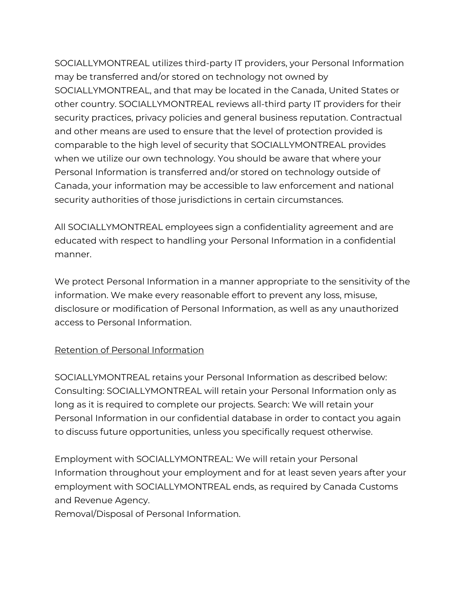SOCIALLYMONTREAL utilizes third-party IT providers, your Personal Information may be transferred and/or stored on technology not owned by SOCIALLYMONTREAL, and that may be located in the Canada, United States or other country. SOCIALLYMONTREAL reviews all-third party IT providers for their security practices, privacy policies and general business reputation. Contractual and other means are used to ensure that the level of protection provided is comparable to the high level of security that SOCIALLYMONTREAL provides when we utilize our own technology. You should be aware that where your Personal Information is transferred and/or stored on technology outside of Canada, your information may be accessible to law enforcement and national security authorities of those jurisdictions in certain circumstances.

All SOCIALLYMONTREAL employees sign a confidentiality agreement and are educated with respect to handling your Personal Information in a confidential manner.

We protect Personal Information in a manner appropriate to the sensitivity of the information. We make every reasonable effort to prevent any loss, misuse, disclosure or modification of Personal Information, as well as any unauthorized access to Personal Information.

### Retention of Personal Information

SOCIALLYMONTREAL retains your Personal Information as described below: Consulting: SOCIALLYMONTREAL will retain your Personal Information only as long as it is required to complete our projects. Search: We will retain your Personal Information in our confidential database in order to contact you again to discuss future opportunities, unless you specifically request otherwise.

Employment with SOCIALLYMONTREAL: We will retain your Personal Information throughout your employment and for at least seven years after your employment with SOCIALLYMONTREAL ends, as required by Canada Customs and Revenue Agency.

Removal/Disposal of Personal Information.